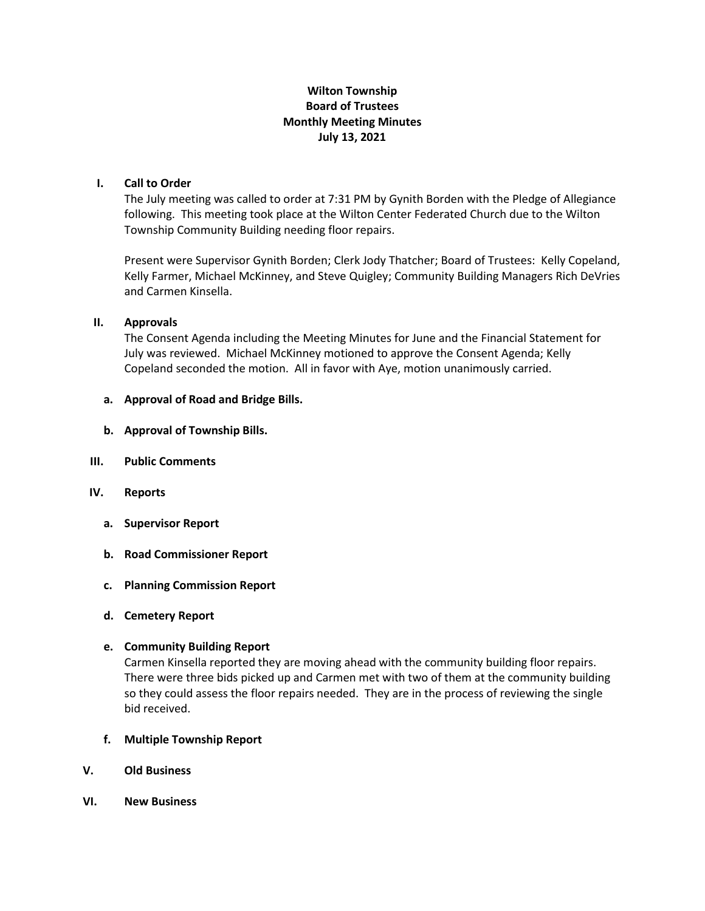# **Wilton Township Board of Trustees Monthly Meeting Minutes July 13, 2021**

## **I. Call to Order**

The July meeting was called to order at 7:31 PM by Gynith Borden with the Pledge of Allegiance following. This meeting took place at the Wilton Center Federated Church due to the Wilton Township Community Building needing floor repairs.

Present were Supervisor Gynith Borden; Clerk Jody Thatcher; Board of Trustees: Kelly Copeland, Kelly Farmer, Michael McKinney, and Steve Quigley; Community Building Managers Rich DeVries and Carmen Kinsella.

### **II. Approvals**

The Consent Agenda including the Meeting Minutes for June and the Financial Statement for July was reviewed. Michael McKinney motioned to approve the Consent Agenda; Kelly Copeland seconded the motion. All in favor with Aye, motion unanimously carried.

### **a. Approval of Road and Bridge Bills.**

- **b. Approval of Township Bills.**
- **III. Public Comments**
- **IV. Reports**
	- **a. Supervisor Report**
	- **b. Road Commissioner Report**
	- **c. Planning Commission Report**
	- **d. Cemetery Report**

#### **e. Community Building Report**

Carmen Kinsella reported they are moving ahead with the community building floor repairs. There were three bids picked up and Carmen met with two of them at the community building so they could assess the floor repairs needed. They are in the process of reviewing the single bid received.

- **f. Multiple Township Report**
- **V. Old Business**
- **VI. New Business**